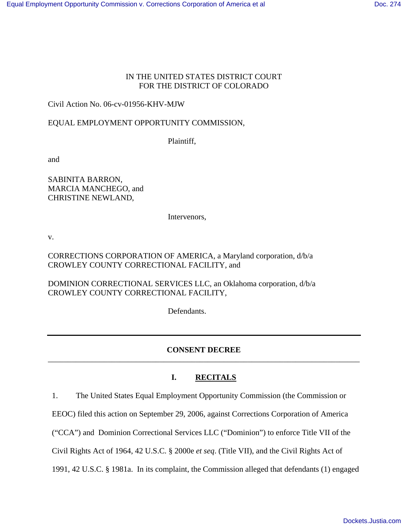#### IN THE UNITED STATES DISTRICT COURT FOR THE DISTRICT OF COLORADO

### Civil Action No. 06-cv-01956-KHV-MJW

### EQUAL EMPLOYMENT OPPORTUNITY COMMISSION,

Plaintiff,

and

SABINITA BARRON, MARCIA MANCHEGO, and CHRISTINE NEWLAND,

Intervenors,

v.

CORRECTIONS CORPORATION OF AMERICA, a Maryland corporation, d/b/a CROWLEY COUNTY CORRECTIONAL FACILITY, and

DOMINION CORRECTIONAL SERVICES LLC, an Oklahoma corporation, d/b/a CROWLEY COUNTY CORRECTIONAL FACILITY,

Defendants.

### **CONSENT DECREE**  \_\_\_\_\_\_\_\_\_\_\_\_\_\_\_\_\_\_\_\_\_\_\_\_\_\_\_\_\_\_\_\_\_\_\_\_\_\_\_\_\_\_\_\_\_\_\_\_\_\_\_\_\_\_\_\_\_\_\_\_\_\_\_\_\_\_\_\_\_\_\_\_\_\_\_\_\_\_

## **I. RECITALS**

1. The United States Equal Employment Opportunity Commission (the Commission or

EEOC) filed this action on September 29, 2006, against Corrections Corporation of America

("CCA") and Dominion Correctional Services LLC ("Dominion") to enforce Title VII of the

Civil Rights Act of 1964, 42 U.S.C. § 2000e *et seq*. (Title VII), and the Civil Rights Act of

1991, 42 U.S.C. § 1981a. In its complaint, the Commission alleged that defendants (1) engaged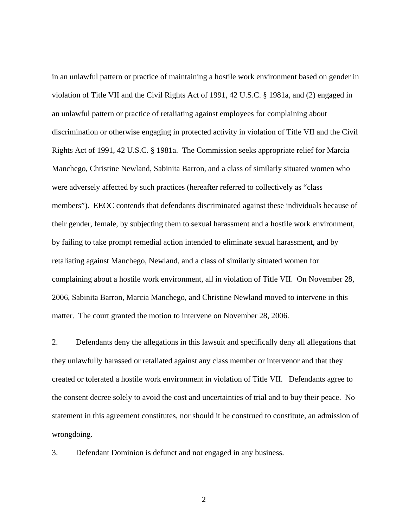in an unlawful pattern or practice of maintaining a hostile work environment based on gender in violation of Title VII and the Civil Rights Act of 1991, 42 U.S.C. § 1981a, and (2) engaged in an unlawful pattern or practice of retaliating against employees for complaining about discrimination or otherwise engaging in protected activity in violation of Title VII and the Civil Rights Act of 1991, 42 U.S.C. § 1981a. The Commission seeks appropriate relief for Marcia Manchego, Christine Newland, Sabinita Barron, and a class of similarly situated women who were adversely affected by such practices (hereafter referred to collectively as "class members"). EEOC contends that defendants discriminated against these individuals because of their gender, female, by subjecting them to sexual harassment and a hostile work environment, by failing to take prompt remedial action intended to eliminate sexual harassment, and by retaliating against Manchego, Newland, and a class of similarly situated women for complaining about a hostile work environment, all in violation of Title VII. On November 28, 2006, Sabinita Barron, Marcia Manchego, and Christine Newland moved to intervene in this matter. The court granted the motion to intervene on November 28, 2006.

2. Defendants deny the allegations in this lawsuit and specifically deny all allegations that they unlawfully harassed or retaliated against any class member or intervenor and that they created or tolerated a hostile work environment in violation of Title VII. Defendants agree to the consent decree solely to avoid the cost and uncertainties of trial and to buy their peace. No statement in this agreement constitutes, nor should it be construed to constitute, an admission of wrongdoing.

3. Defendant Dominion is defunct and not engaged in any business.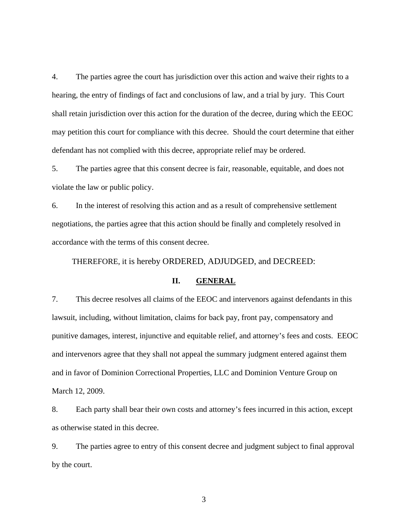4. The parties agree the court has jurisdiction over this action and waive their rights to a hearing, the entry of findings of fact and conclusions of law, and a trial by jury. This Court shall retain jurisdiction over this action for the duration of the decree, during which the EEOC may petition this court for compliance with this decree. Should the court determine that either defendant has not complied with this decree, appropriate relief may be ordered.

5. The parties agree that this consent decree is fair, reasonable, equitable, and does not violate the law or public policy.

6. In the interest of resolving this action and as a result of comprehensive settlement negotiations, the parties agree that this action should be finally and completely resolved in accordance with the terms of this consent decree.

THEREFORE, it is hereby ORDERED, ADJUDGED, and DECREED:

#### **II. GENERAL**

7. This decree resolves all claims of the EEOC and intervenors against defendants in this lawsuit, including, without limitation, claims for back pay, front pay, compensatory and punitive damages, interest, injunctive and equitable relief, and attorney's fees and costs. EEOC and intervenors agree that they shall not appeal the summary judgment entered against them and in favor of Dominion Correctional Properties, LLC and Dominion Venture Group on March 12, 2009.

8. Each party shall bear their own costs and attorney's fees incurred in this action, except as otherwise stated in this decree.

9. The parties agree to entry of this consent decree and judgment subject to final approval by the court.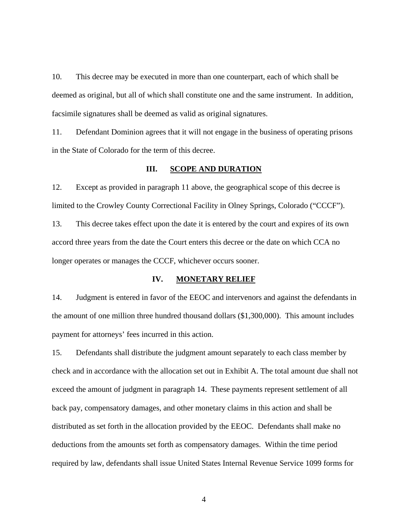10. This decree may be executed in more than one counterpart, each of which shall be deemed as original, but all of which shall constitute one and the same instrument. In addition, facsimile signatures shall be deemed as valid as original signatures.

11. Defendant Dominion agrees that it will not engage in the business of operating prisons in the State of Colorado for the term of this decree.

#### **III. SCOPE AND DURATION**

12. Except as provided in paragraph 11 above, the geographical scope of this decree is limited to the Crowley County Correctional Facility in Olney Springs, Colorado ("CCCF"). 13. This decree takes effect upon the date it is entered by the court and expires of its own accord three years from the date the Court enters this decree or the date on which CCA no longer operates or manages the CCCF, whichever occurs sooner.

#### **IV. MONETARY RELIEF**

14. Judgment is entered in favor of the EEOC and intervenors and against the defendants in the amount of one million three hundred thousand dollars (\$1,300,000). This amount includes payment for attorneys' fees incurred in this action.

15. Defendants shall distribute the judgment amount separately to each class member by check and in accordance with the allocation set out in Exhibit A. The total amount due shall not exceed the amount of judgment in paragraph 14. These payments represent settlement of all back pay, compensatory damages, and other monetary claims in this action and shall be distributed as set forth in the allocation provided by the EEOC. Defendants shall make no deductions from the amounts set forth as compensatory damages. Within the time period required by law, defendants shall issue United States Internal Revenue Service 1099 forms for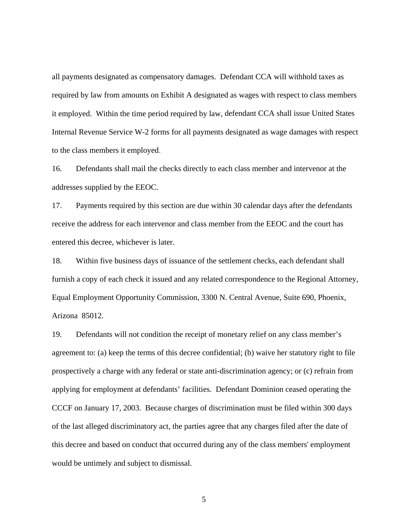all payments designated as compensatory damages. Defendant CCA will withhold taxes as required by law from amounts on Exhibit A designated as wages with respect to class members it employed. Within the time period required by law, defendant CCA shall issue United States Internal Revenue Service W-2 forms for all payments designated as wage damages with respect to the class members it employed.

16. Defendants shall mail the checks directly to each class member and intervenor at the addresses supplied by the EEOC.

17. Payments required by this section are due within 30 calendar days after the defendants receive the address for each intervenor and class member from the EEOC and the court has entered this decree, whichever is later.

18. Within five business days of issuance of the settlement checks, each defendant shall furnish a copy of each check it issued and any related correspondence to the Regional Attorney, Equal Employment Opportunity Commission, 3300 N. Central Avenue, Suite 690, Phoenix, Arizona 85012.

19. Defendants will not condition the receipt of monetary relief on any class member's agreement to: (a) keep the terms of this decree confidential; (b) waive her statutory right to file prospectively a charge with any federal or state anti-discrimination agency; or (c) refrain from applying for employment at defendants' facilities. Defendant Dominion ceased operating the CCCF on January 17, 2003. Because charges of discrimination must be filed within 300 days of the last alleged discriminatory act, the parties agree that any charges filed after the date of this decree and based on conduct that occurred during any of the class members' employment would be untimely and subject to dismissal.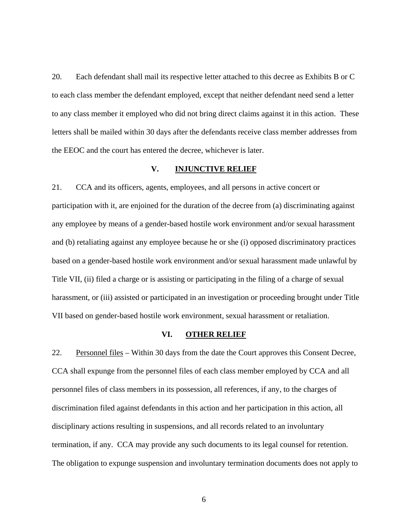20. Each defendant shall mail its respective letter attached to this decree as Exhibits B or C to each class member the defendant employed, except that neither defendant need send a letter to any class member it employed who did not bring direct claims against it in this action. These letters shall be mailed within 30 days after the defendants receive class member addresses from the EEOC and the court has entered the decree, whichever is later.

#### **V. INJUNCTIVE RELIEF**

21. CCA and its officers, agents, employees, and all persons in active concert or participation with it, are enjoined for the duration of the decree from (a) discriminating against any employee by means of a gender-based hostile work environment and/or sexual harassment and (b) retaliating against any employee because he or she (i) opposed discriminatory practices based on a gender-based hostile work environment and/or sexual harassment made unlawful by Title VII, (ii) filed a charge or is assisting or participating in the filing of a charge of sexual harassment, or (iii) assisted or participated in an investigation or proceeding brought under Title VII based on gender-based hostile work environment, sexual harassment or retaliation.

#### **VI. OTHER RELIEF**

22. Personnel files – Within 30 days from the date the Court approves this Consent Decree, CCA shall expunge from the personnel files of each class member employed by CCA and all personnel files of class members in its possession, all references, if any, to the charges of discrimination filed against defendants in this action and her participation in this action, all disciplinary actions resulting in suspensions, and all records related to an involuntary termination, if any. CCA may provide any such documents to its legal counsel for retention. The obligation to expunge suspension and involuntary termination documents does not apply to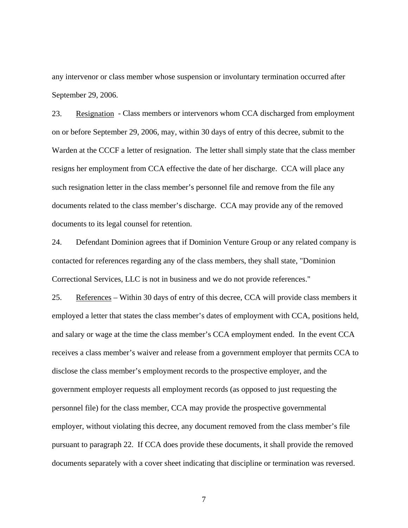any intervenor or class member whose suspension or involuntary termination occurred after September 29, 2006.

23. Resignation - Class members or intervenors whom CCA discharged from employment on or before September 29, 2006, may, within 30 days of entry of this decree, submit to the Warden at the CCCF a letter of resignation. The letter shall simply state that the class member resigns her employment from CCA effective the date of her discharge. CCA will place any such resignation letter in the class member's personnel file and remove from the file any documents related to the class member's discharge. CCA may provide any of the removed documents to its legal counsel for retention.

24. Defendant Dominion agrees that if Dominion Venture Group or any related company is contacted for references regarding any of the class members, they shall state, "Dominion Correctional Services, LLC is not in business and we do not provide references."

25. References – Within 30 days of entry of this decree, CCA will provide class members it employed a letter that states the class member's dates of employment with CCA, positions held, and salary or wage at the time the class member's CCA employment ended. In the event CCA receives a class member's waiver and release from a government employer that permits CCA to disclose the class member's employment records to the prospective employer, and the government employer requests all employment records (as opposed to just requesting the personnel file) for the class member, CCA may provide the prospective governmental employer, without violating this decree, any document removed from the class member's file pursuant to paragraph 22. If CCA does provide these documents, it shall provide the removed documents separately with a cover sheet indicating that discipline or termination was reversed.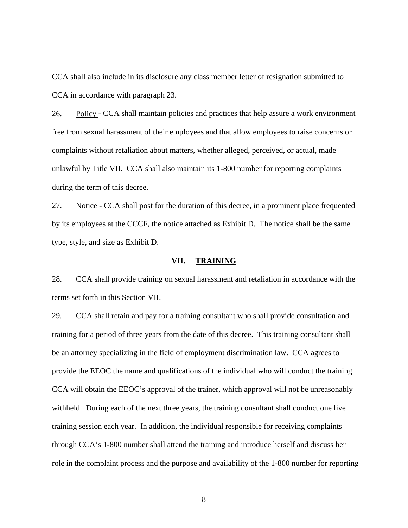CCA shall also include in its disclosure any class member letter of resignation submitted to CCA in accordance with paragraph 23.

26. Policy - CCA shall maintain policies and practices that help assure a work environment free from sexual harassment of their employees and that allow employees to raise concerns or complaints without retaliation about matters, whether alleged, perceived, or actual, made unlawful by Title VII. CCA shall also maintain its 1-800 number for reporting complaints during the term of this decree.

27. Notice - CCA shall post for the duration of this decree, in a prominent place frequented by its employees at the CCCF, the notice attached as Exhibit D. The notice shall be the same type, style, and size as Exhibit D.

#### **VII. TRAINING**

28. CCA shall provide training on sexual harassment and retaliation in accordance with the terms set forth in this Section VII.

29. CCA shall retain and pay for a training consultant who shall provide consultation and training for a period of three years from the date of this decree. This training consultant shall be an attorney specializing in the field of employment discrimination law. CCA agrees to provide the EEOC the name and qualifications of the individual who will conduct the training. CCA will obtain the EEOC's approval of the trainer, which approval will not be unreasonably withheld. During each of the next three years, the training consultant shall conduct one live training session each year. In addition, the individual responsible for receiving complaints through CCA's 1-800 number shall attend the training and introduce herself and discuss her role in the complaint process and the purpose and availability of the 1-800 number for reporting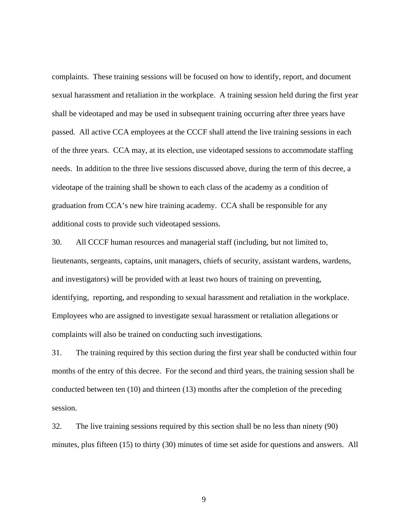complaints. These training sessions will be focused on how to identify, report, and document sexual harassment and retaliation in the workplace. A training session held during the first year shall be videotaped and may be used in subsequent training occurring after three years have passed. All active CCA employees at the CCCF shall attend the live training sessions in each of the three years. CCA may, at its election, use videotaped sessions to accommodate staffing needs. In addition to the three live sessions discussed above, during the term of this decree, a videotape of the training shall be shown to each class of the academy as a condition of graduation from CCA's new hire training academy. CCA shall be responsible for any additional costs to provide such videotaped sessions.

30. All CCCF human resources and managerial staff (including, but not limited to, lieutenants, sergeants, captains, unit managers, chiefs of security, assistant wardens, wardens, and investigators) will be provided with at least two hours of training on preventing, identifying, reporting, and responding to sexual harassment and retaliation in the workplace. Employees who are assigned to investigate sexual harassment or retaliation allegations or complaints will also be trained on conducting such investigations.

31. The training required by this section during the first year shall be conducted within four months of the entry of this decree. For the second and third years, the training session shall be conducted between ten (10) and thirteen (13) months after the completion of the preceding session.

32. The live training sessions required by this section shall be no less than ninety (90) minutes, plus fifteen (15) to thirty (30) minutes of time set aside for questions and answers. All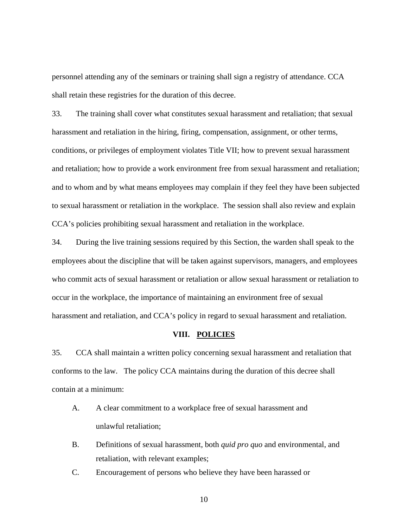personnel attending any of the seminars or training shall sign a registry of attendance. CCA shall retain these registries for the duration of this decree.

33. The training shall cover what constitutes sexual harassment and retaliation; that sexual harassment and retaliation in the hiring, firing, compensation, assignment, or other terms, conditions, or privileges of employment violates Title VII; how to prevent sexual harassment and retaliation; how to provide a work environment free from sexual harassment and retaliation; and to whom and by what means employees may complain if they feel they have been subjected to sexual harassment or retaliation in the workplace. The session shall also review and explain CCA's policies prohibiting sexual harassment and retaliation in the workplace.

34. During the live training sessions required by this Section, the warden shall speak to the employees about the discipline that will be taken against supervisors, managers, and employees who commit acts of sexual harassment or retaliation or allow sexual harassment or retaliation to occur in the workplace, the importance of maintaining an environment free of sexual harassment and retaliation, and CCA's policy in regard to sexual harassment and retaliation.

#### **VIII. POLICIES**

35. CCA shall maintain a written policy concerning sexual harassment and retaliation that conforms to the law. The policy CCA maintains during the duration of this decree shall contain at a minimum:

- A. A clear commitment to a workplace free of sexual harassment and unlawful retaliation;
- B. Definitions of sexual harassment, both *quid pro quo* and environmental, and retaliation, with relevant examples;
- C. Encouragement of persons who believe they have been harassed or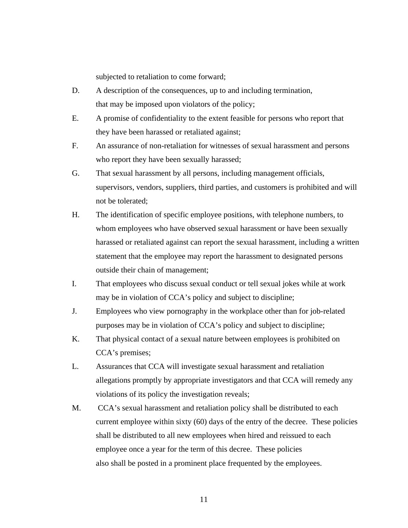subjected to retaliation to come forward;

- D. A description of the consequences, up to and including termination, that may be imposed upon violators of the policy;
- E. A promise of confidentiality to the extent feasible for persons who report that they have been harassed or retaliated against;
- F. An assurance of non-retaliation for witnesses of sexual harassment and persons who report they have been sexually harassed;
- G. That sexual harassment by all persons, including management officials, supervisors, vendors, suppliers, third parties, and customers is prohibited and will not be tolerated;
- H. The identification of specific employee positions, with telephone numbers, to whom employees who have observed sexual harassment or have been sexually harassed or retaliated against can report the sexual harassment, including a written statement that the employee may report the harassment to designated persons outside their chain of management;
- I. That employees who discuss sexual conduct or tell sexual jokes while at work may be in violation of CCA's policy and subject to discipline;
- J. Employees who view pornography in the workplace other than for job-related purposes may be in violation of CCA's policy and subject to discipline;
- K. That physical contact of a sexual nature between employees is prohibited on CCA's premises;
- L. Assurances that CCA will investigate sexual harassment and retaliation allegations promptly by appropriate investigators and that CCA will remedy any violations of its policy the investigation reveals;
- M. CCA's sexual harassment and retaliation policy shall be distributed to each current employee within sixty (60) days of the entry of the decree. These policies shall be distributed to all new employees when hired and reissued to each employee once a year for the term of this decree. These policies also shall be posted in a prominent place frequented by the employees.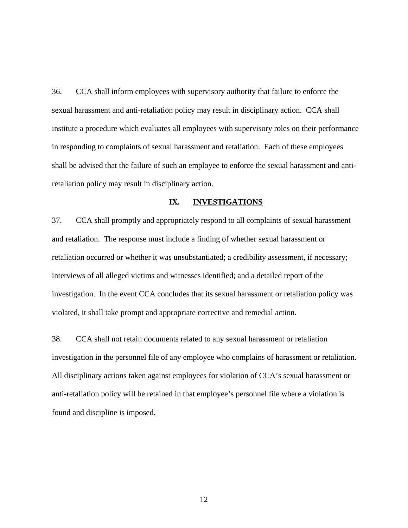36. CCA shall inform employees with supervisory authority that failure to enforce the sexual harassment and anti-retaliation policy may result in disciplinary action. CCA shall institute a procedure which evaluates all employees with supervisory roles on their performance in responding to complaints of sexual harassment and retaliation. Each of these employees shall be advised that the failure of such an employee to enforce the sexual harassment and antiretaliation policy may result in disciplinary action.

#### **IX. INVESTIGATIONS**

37. CCA shall promptly and appropriately respond to all complaints of sexual harassment and retaliation. The response must include a finding of whether sexual harassment or retaliation occurred or whether it was unsubstantiated; a credibility assessment, if necessary; interviews of all alleged victims and witnesses identified; and a detailed report of the investigation. In the event CCA concludes that its sexual harassment or retaliation policy was violated, it shall take prompt and appropriate corrective and remedial action.

38. CCA shall not retain documents related to any sexual harassment or retaliation investigation in the personnel file of any employee who complains of harassment or retaliation. All disciplinary actions taken against employees for violation of CCA's sexual harassment or anti-retaliation policy will be retained in that employee's personnel file where a violation is found and discipline is imposed.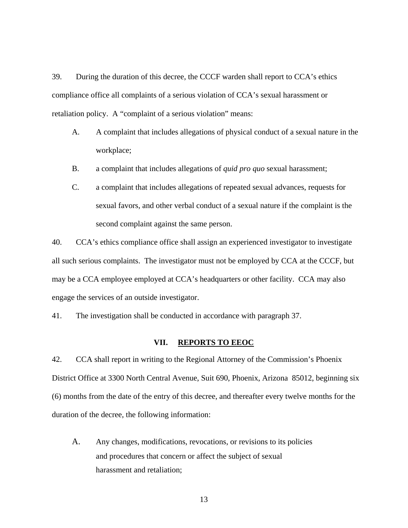39. During the duration of this decree, the CCCF warden shall report to CCA's ethics compliance office all complaints of a serious violation of CCA's sexual harassment or retaliation policy. A "complaint of a serious violation" means:

- A. A complaint that includes allegations of physical conduct of a sexual nature in the workplace;
- B. a complaint that includes allegations of *quid pro quo* sexual harassment;
- C. a complaint that includes allegations of repeated sexual advances, requests for sexual favors, and other verbal conduct of a sexual nature if the complaint is the second complaint against the same person.

40. CCA's ethics compliance office shall assign an experienced investigator to investigate all such serious complaints. The investigator must not be employed by CCA at the CCCF, but may be a CCA employee employed at CCA's headquarters or other facility. CCA may also engage the services of an outside investigator.

41. The investigation shall be conducted in accordance with paragraph 37.

#### **VII. REPORTS TO EEOC**

42. CCA shall report in writing to the Regional Attorney of the Commission's Phoenix District Office at 3300 North Central Avenue, Suit 690, Phoenix, Arizona 85012, beginning six (6) months from the date of the entry of this decree, and thereafter every twelve months for the duration of the decree, the following information:

- A. Any changes, modifications, revocations, or revisions to its policies and procedures that concern or affect the subject of sexual harassment and retaliation;
	- 13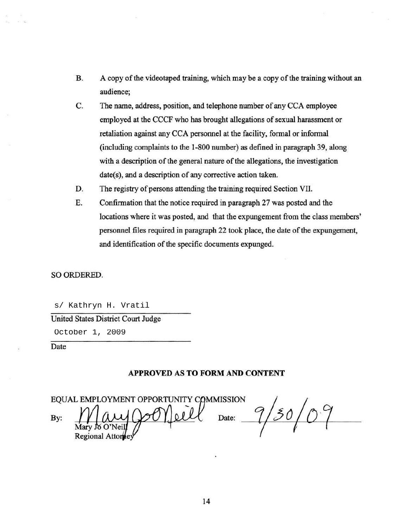- B. A copy of the videotaped training, which may be a copy of the training without an audience;
- C. The name, address, position, and telephone number of any CCA employee employed at the CCCF who has brought allegations of sexual harassment or retaliation against any CCA personnel at the facility, formal or informal (including complaints to the 1-800 number) as defmed in paragraph 39, along with a description of the general nature of the allegations, the investigation date(s), and a description of any corrective action taken.
- D. The registry of persons attending the training required Section VII.
- E. Confirmation that the notice required in paragraph 27 was posted and the locations where it was posted, and that the expungement from the class members' personnel files required in paragraph 22 took place, the date of the expungement, and identification of the specific documents expunged.

#### SO ORDERED.

s/ Kathryn H. Vratil

United States District Court Judge

October 1, 2009

Date

#### **APPROVED AS TO FORM AND CONTENT**

EQUAL EMPLOYMENT OPPORTUNITY COMMISSION By: Date: Regional Attor

30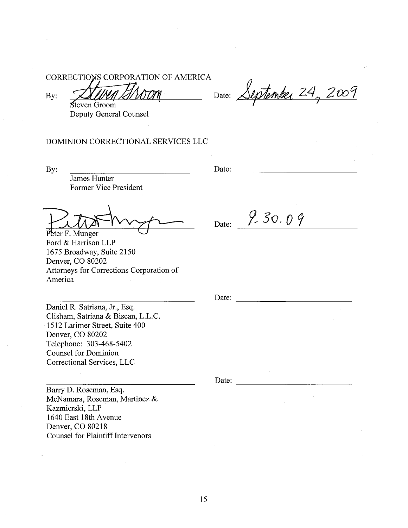CORRECTIONS CORPORATION OF AMERICA

By:

Tren Bi Steven Groom Deputy General Counsel

noon Date: September 24, 2009

DOMINION CORRECTIONAL SERVICES LLC

By:

Date: the contract of the contract of the contract of the contract of the contract of the contract of the contract of the contract of the contract of the contract of the contract of the contract of the contract of the cont

James Hunter Former Vice President

Peter F. Munger Ford & Harrison LLP 1675 Broadway, Suite 2150 Denver, CO 80202 Attorneys for Corrections Corporation of America

Date:  $9.30.09$ 

Date:

Daniel R. Satriana, Jr., Esq. Clisham, Satriana & Biscan, L.L.C. 1512 Larimer Street, Suite 400 Denver, CO 80202 Telephone: 303-468-5402 **Counsel for Dominion** Correctional Services, LLC

Barry D. Roseman, Esq. McNamara, Roseman, Martinez & Kazmierski, LLP 1640 East 18th Avenue Denver, CO 80218 **Counsel for Plaintiff Intervenors** 

Date: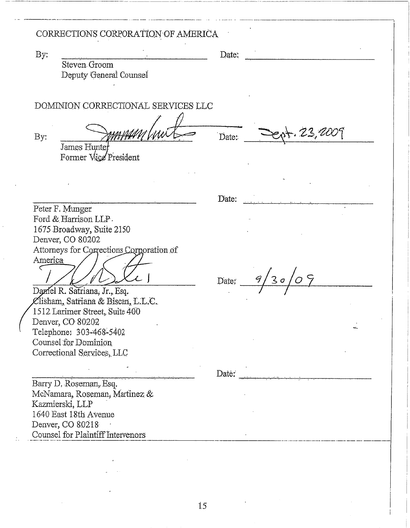## CORRECTIONS CORPORATION OF AMERICA

By:

Steven Groom Deputy General Counsel Date:

Date:

Date:

DOMINION CORRECTIONAL SERVICES LLC

By:

James Hunter Former Vice President

Peter F. Munger Ford & Harrison LLP. 1675 Broadway, Suite 2150 Denver, CO 80202 Attorneys for Corrections Corporation of America  $\subset$ 

又丨

Damel R. Satriana, Jr., Esq. Clisham, Satriana & Biscan, L.L.C. 1512 Larimer Street, Suite 400 Denver, CO 80202 Telephone: 303-468-5402 Counsel for Dominion Correctional Services, LLC

Barry D. Roseman, Esq. McNamara, Roseman, Martinez & Kazmierski, LLP 1640 East 18th Avenue Denver, CO 80218 Counsel for Plaintiff Intervenors

Date:  $9/30/09$ 

 $-23,2007$ 

Date: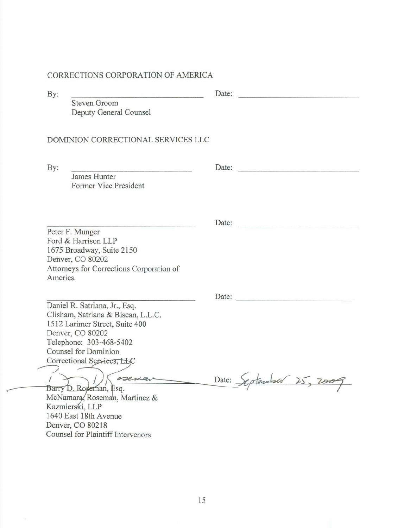## CORRECTIONS CORPORATION OF AMERICA

| By:     |                                                                     | Date: |                   |
|---------|---------------------------------------------------------------------|-------|-------------------|
|         | <b>Steven Groom</b><br>Deputy General Counsel                       |       |                   |
|         | DOMINION CORRECTIONAL SERVICES LLC                                  |       |                   |
| By:     | James Hunter                                                        | Date: |                   |
|         | Former Vice President                                               |       |                   |
|         | <u> A Britannich Machine (Barbara)</u>                              | Date: |                   |
|         | Peter F. Munger<br>Ford & Harrison LLP                              |       |                   |
|         | 1675 Broadway, Suite 2150<br>Denver, CO 80202                       |       |                   |
| America | Attorneys for Corrections Corporation of                            |       |                   |
|         |                                                                     |       | Date:             |
|         | Daniel R. Satriana, Jr., Esq.<br>Clisham, Satriana & Biscan, L.L.C. |       |                   |
|         | 1512 Larimer Street, Suite 400<br>Denver, CO 80202                  |       |                   |
|         | Telephone: 303-468-5402                                             |       |                   |
|         | <b>Counsel for Dominion</b>                                         |       |                   |
|         | Correctional Services, LLC                                          |       |                   |
|         | osena                                                               | Date: | otember<br>25.780 |
|         | Barry D. Rogeman, Esq.                                              |       |                   |
|         | McNamara, Roseman, Martinez &<br>Kazmierski, LLP                    |       |                   |
|         | 1640 East 18th Avenue                                               |       |                   |
|         | Denver, CO 80218                                                    |       |                   |
|         | Counsel for Plaintiff Intervenors                                   |       |                   |
|         |                                                                     |       |                   |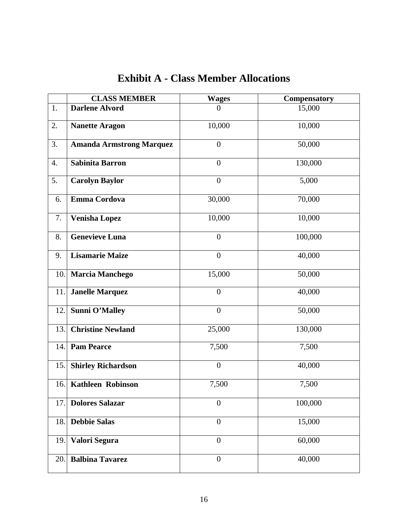|      | <b>CLASS MEMBER</b>             | <b>Wages</b>     | Compensatory |
|------|---------------------------------|------------------|--------------|
| 1.   | Darlene Alvord                  | $\theta$         | 15,000       |
| 2.   | <b>Nanette Aragon</b>           | 10,000           | 10,000       |
| 3.   | <b>Amanda Armstrong Marquez</b> | $\overline{0}$   | 50,000       |
| 4.   | <b>Sabinita Barron</b>          | $\boldsymbol{0}$ | 130,000      |
| 5.   | <b>Carolyn Baylor</b>           | $\overline{0}$   | 5,000        |
| 6.   | <b>Emma Cordova</b>             | 30,000           | 70,000       |
| 7.   | <b>Venisha Lopez</b>            | 10,000           | 10,000       |
| 8.   | <b>Genevieve Luna</b>           | $\overline{0}$   | 100,000      |
| 9.   | <b>Lisamarie Maize</b>          | $\overline{0}$   | 40,000       |
| 10.  | <b>Marcia Manchego</b>          | 15,000           | 50,000       |
| 11.  | <b>Janelle Marquez</b>          | $\overline{0}$   | 40,000       |
| 12.  | <b>Sunni O'Malley</b>           | $\overline{0}$   | 50,000       |
| 13.  | <b>Christine Newland</b>        | 25,000           | 130,000      |
| 14.  | <b>Pam Pearce</b>               | 7,500            | 7,500        |
| 15.  | <b>Shirley Richardson</b>       | $\overline{0}$   | 40,000       |
| 16.  | <b>Kathleen Robinson</b>        | 7,500            | 7,500        |
| 17.1 | <b>Dolores Salazar</b>          | $\boldsymbol{0}$ | 100,000      |
| 18.  | <b>Debbie Salas</b>             | $\overline{0}$   | 15,000       |
| 19.  | Valori Segura                   | $\overline{0}$   | 60,000       |
| 20.1 | <b>Balbina Tavarez</b>          | $\boldsymbol{0}$ | 40,000       |

# **Exhibit A - Class Member Allocations**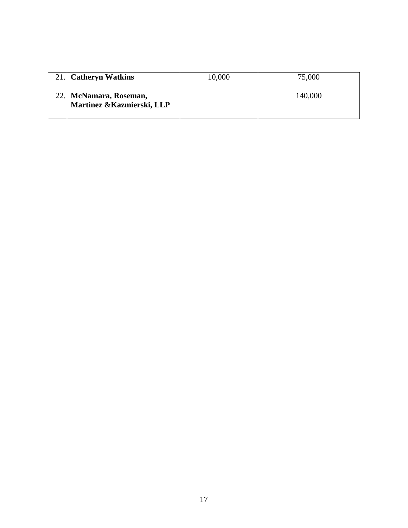| 21. Catheryn Watkins                                 | 10,000 | 75,000  |
|------------------------------------------------------|--------|---------|
| 22. McNamara, Roseman,<br>Martinez & Kazmierski, LLP |        | 140,000 |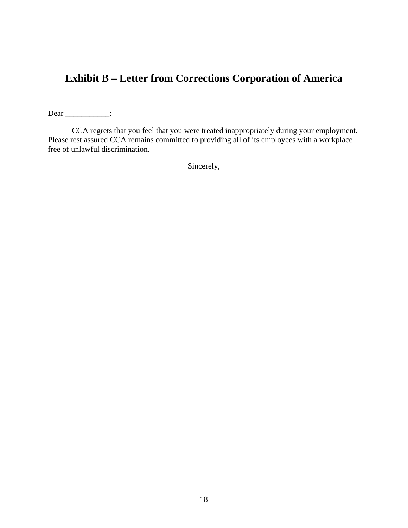## **Exhibit B – Letter from Corrections Corporation of America**

Dear \_\_\_\_\_\_\_\_\_\_\_\_\_:

 CCA regrets that you feel that you were treated inappropriately during your employment. Please rest assured CCA remains committed to providing all of its employees with a workplace free of unlawful discrimination.

Sincerely,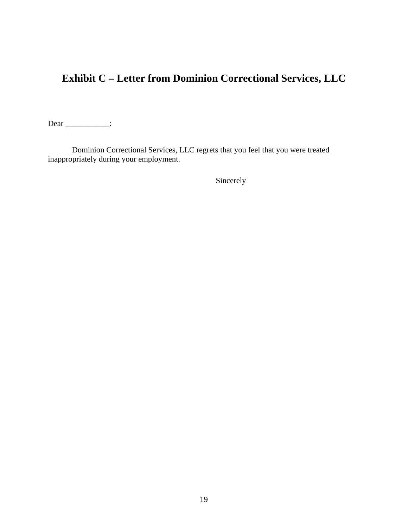# **Exhibit C – Letter from Dominion Correctional Services, LLC**

Dear \_\_\_\_\_\_\_\_\_\_\_\_\_:

Dominion Correctional Services, LLC regrets that you feel that you were treated inappropriately during your employment.

Sincerely